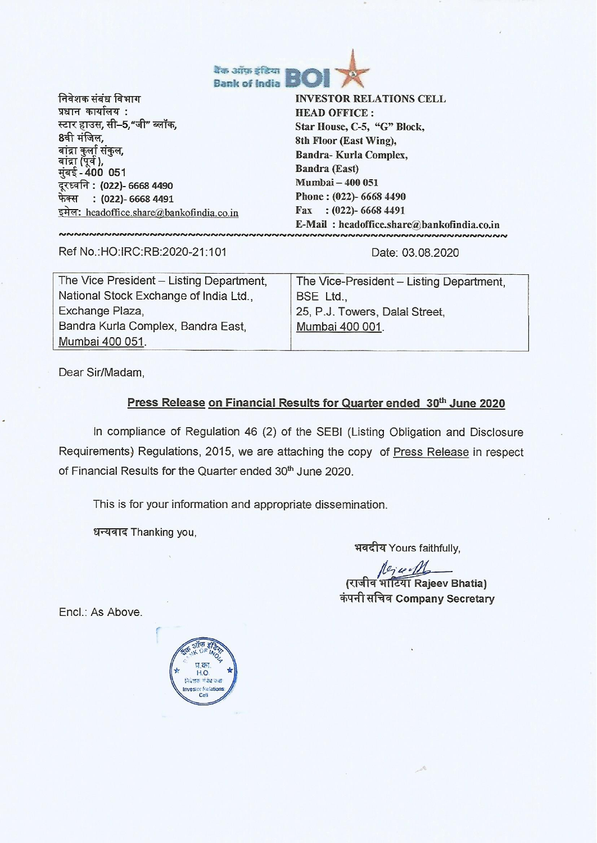

निवेशक संबंध विभाग प्रधान कार्यालय : स्टार हाउस, सी–5,"जी" ब्लॉक, 8वी मंजिल. बांद्रा कुर्ला संकुल, बांद्रा (पूर्व ), मुंबई - 400 051 दूरध्वनि: (022)- 6668 4490 फेक्स: (022)- 6668 4491 इमेल: headoffice.share@bankofindia.co.in **INVESTOR RELATIONS CELL HEAD OFFICE:** Star House, C-5, "G" Block, 8th Floor (East Wing), **Bandra-Kurla Complex, Bandra (East)** Mumbai - 400 051 Phone: (022)-6668 4490 Fax:  $(022)$ -6668 4491 E-Mail: headoffice.share@bankofindia.co.in

Ref No.: HO: IRC: RB: 2020-21: 101

Date: 03.08.2020

INNNNNNNNNNNNNNNNNNNNN

The Vice President - Listing Department. The Vice-President - Listing Department. National Stock Exchange of India Ltd., BSE Ltd., Exchange Plaza, 25, P.J. Towers, Dalal Street, Bandra Kurla Complex, Bandra East, Mumbai 400 001. Mumbai 400 051.

Dear Sir/Madam,

#### Press Release on Financial Results for Quarter ended 30th June 2020

In compliance of Regulation 46 (2) of the SEBI (Listing Obligation and Disclosure Requirements) Regulations, 2015, we are attaching the copy of Press Release in respect of Financial Results for the Quarter ended 30<sup>th</sup> June 2020.

This is for your information and appropriate dissemination.

धन्यवाद Thanking you.

भवदीय Yours faithfully.

(राजीव भाटिया Rajeev Bhatia)

कंपनी सचिव Company Secretary

Encl.: As Above.

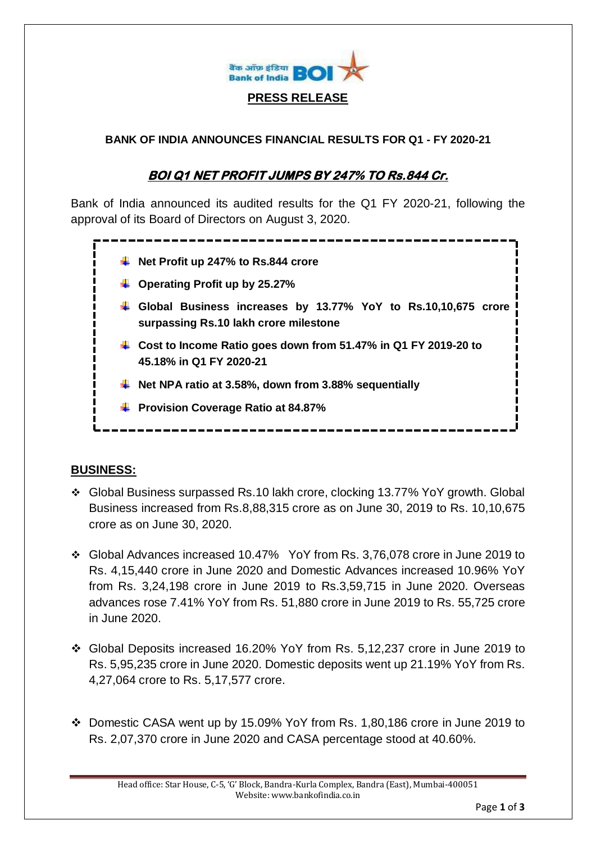

#### **PRESS RELEASE**

#### **BANK OF INDIA ANNOUNCES FINANCIAL RESULTS FOR Q1 - FY 2020-21**

# **BOI Q1 NET PROFIT JUMPS BY 247% TO Rs.844 Cr.**

Bank of India announced its audited results for the Q1 FY 2020-21, following the approval of its Board of Directors on August 3, 2020.



#### **BUSINESS:**

- Global Business surpassed Rs.10 lakh crore, clocking 13.77% YoY growth. Global Business increased from Rs.8,88,315 crore as on June 30, 2019 to Rs. 10,10,675 crore as on June 30, 2020.
- Global Advances increased 10.47% YoY from Rs. 3,76,078 crore in June 2019 to Rs. 4,15,440 crore in June 2020 and Domestic Advances increased 10.96% YoY from Rs. 3,24,198 crore in June 2019 to Rs.3,59,715 in June 2020. Overseas advances rose 7.41% YoY from Rs. 51,880 crore in June 2019 to Rs. 55,725 crore in June 2020.
- Global Deposits increased 16.20% YoY from Rs. 5,12,237 crore in June 2019 to Rs. 5,95,235 crore in June 2020. Domestic deposits went up 21.19% YoY from Rs. 4,27,064 crore to Rs. 5,17,577 crore.
- Domestic CASA went up by 15.09% YoY from Rs. 1,80,186 crore in June 2019 to Rs. 2,07,370 crore in June 2020 and CASA percentage stood at 40.60%.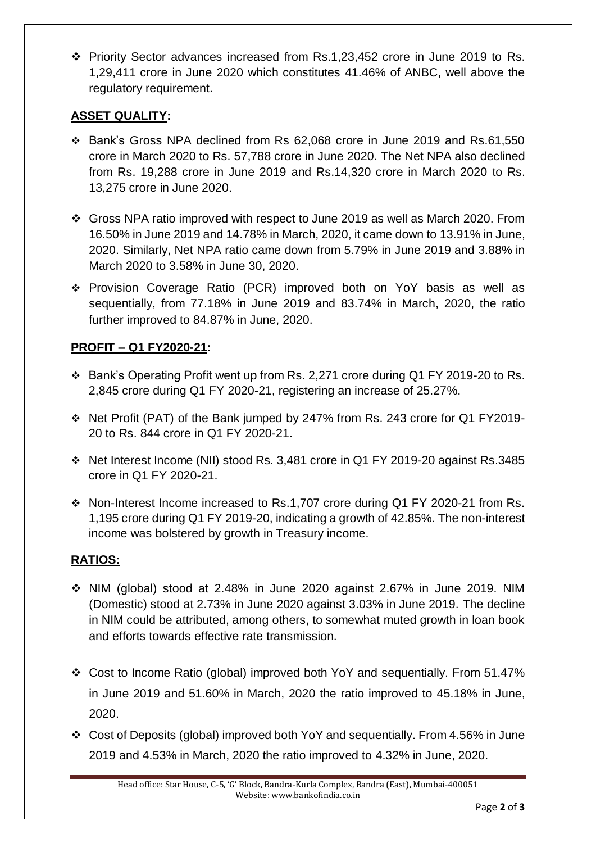Priority Sector advances increased from Rs.1,23,452 crore in June 2019 to Rs. 1,29,411 crore in June 2020 which constitutes 41.46% of ANBC, well above the regulatory requirement.

## **ASSET QUALITY:**

- Bank's Gross NPA declined from Rs 62,068 crore in June 2019 and Rs.61,550 crore in March 2020 to Rs. 57,788 crore in June 2020. The Net NPA also declined from Rs. 19,288 crore in June 2019 and Rs.14,320 crore in March 2020 to Rs. 13,275 crore in June 2020.
- Gross NPA ratio improved with respect to June 2019 as well as March 2020. From 16.50% in June 2019 and 14.78% in March, 2020, it came down to 13.91% in June, 2020. Similarly, Net NPA ratio came down from 5.79% in June 2019 and 3.88% in March 2020 to 3.58% in June 30, 2020.
- \* Provision Coverage Ratio (PCR) improved both on YoY basis as well as sequentially, from 77.18% in June 2019 and 83.74% in March, 2020, the ratio further improved to 84.87% in June, 2020.

# **PROFIT – Q1 FY2020-21:**

- Bank's Operating Profit went up from Rs. 2,271 crore during Q1 FY 2019-20 to Rs. 2,845 crore during Q1 FY 2020-21, registering an increase of 25.27%.
- Net Profit (PAT) of the Bank jumped by 247% from Rs. 243 crore for Q1 FY2019- 20 to Rs. 844 crore in Q1 FY 2020-21.
- Net Interest Income (NII) stood Rs. 3,481 crore in Q1 FY 2019-20 against Rs.3485 crore in Q1 FY 2020-21.
- Non-Interest Income increased to Rs.1,707 crore during Q1 FY 2020-21 from Rs. 1,195 crore during Q1 FY 2019-20, indicating a growth of 42.85%. The non-interest income was bolstered by growth in Treasury income.

### **RATIOS:**

- NIM (global) stood at 2.48% in June 2020 against 2.67% in June 2019. NIM (Domestic) stood at 2.73% in June 2020 against 3.03% in June 2019. The decline in NIM could be attributed, among others, to somewhat muted growth in loan book and efforts towards effective rate transmission.
- Cost to Income Ratio (global) improved both YoY and sequentially. From 51.47% in June 2019 and 51.60% in March, 2020 the ratio improved to 45.18% in June, 2020.
- Cost of Deposits (global) improved both YoY and sequentially. From 4.56% in June 2019 and 4.53% in March, 2020 the ratio improved to 4.32% in June, 2020.